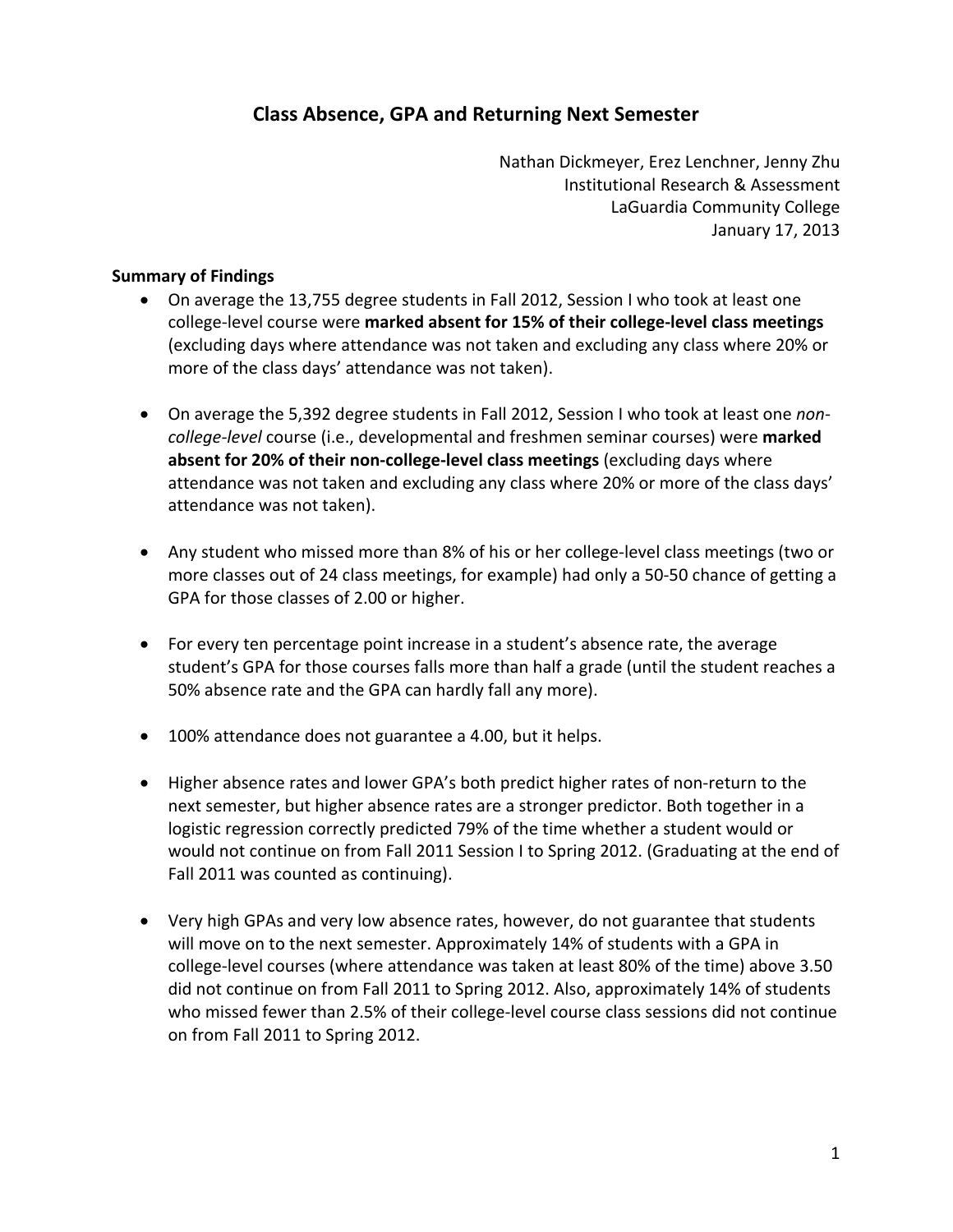#### **Class Absence, GPA and Returning Next Semester**

 Nathan Dickmeyer, Erez Lenchner, Jenny Zhu Institutional Research & Assessment LaGuardia Community College January 17, 2013

#### **Summary of Findings**

- On average the 13,755 degree students in Fall 2012, Session I who took at least one  college‐level course were **marked absent for 15% of their college‐level class meetings** (excluding days where attendance was not taken and excluding any class where 20% or more of the class days' attendance was not taken).
- On average the 5,392 degree students in Fall 2012, Session I who took at least one *non*- *college‐level* course (i.e., developmental and freshmen seminar courses) were **marked absent for 20% of their non‐college‐level class meetings** (excluding days where attendance was not taken and excluding any class where 20% or more of the class days' attendance was not taken).
- Any student who missed more than 8% of his or her college-level class meetings (two or more classes out of 24 class meetings, for example) had only a 50‐50 chance of getting a GPA for those classes of 2.00 or higher.
- For every ten percentage point increase in a student's absence rate, the average student's GPA for those courses falls more than half a grade (until the student reaches a 50% absence rate and the GPA can hardly fall any more).
- 100% attendance does not guarantee a 4.00, but it helps.
- Higher absence rates and lower GPA's both predict higher rates of non-return to the next semester, but higher absence rates are a stronger predictor. Both together in a logistic regression correctly predicted 79% of the time whether a student would or would not continue on from Fall 2011 Session I to Spring 2012. (Graduating at the end of Fall 2011 was counted as continuing).
- Very high GPAs and very low absence rates, however, do not guarantee that students will move on to the next semester. Approximately 14% of students with a GPA in college‐level courses (where attendance was taken at least 80% of the time) above 3.50 did not continue on from Fall 2011 to Spring 2012. Also, approximately 14% of students who missed fewer than 2.5% of their college‐level course class sessions did not continue on from Fall 2011 to Spring 2012.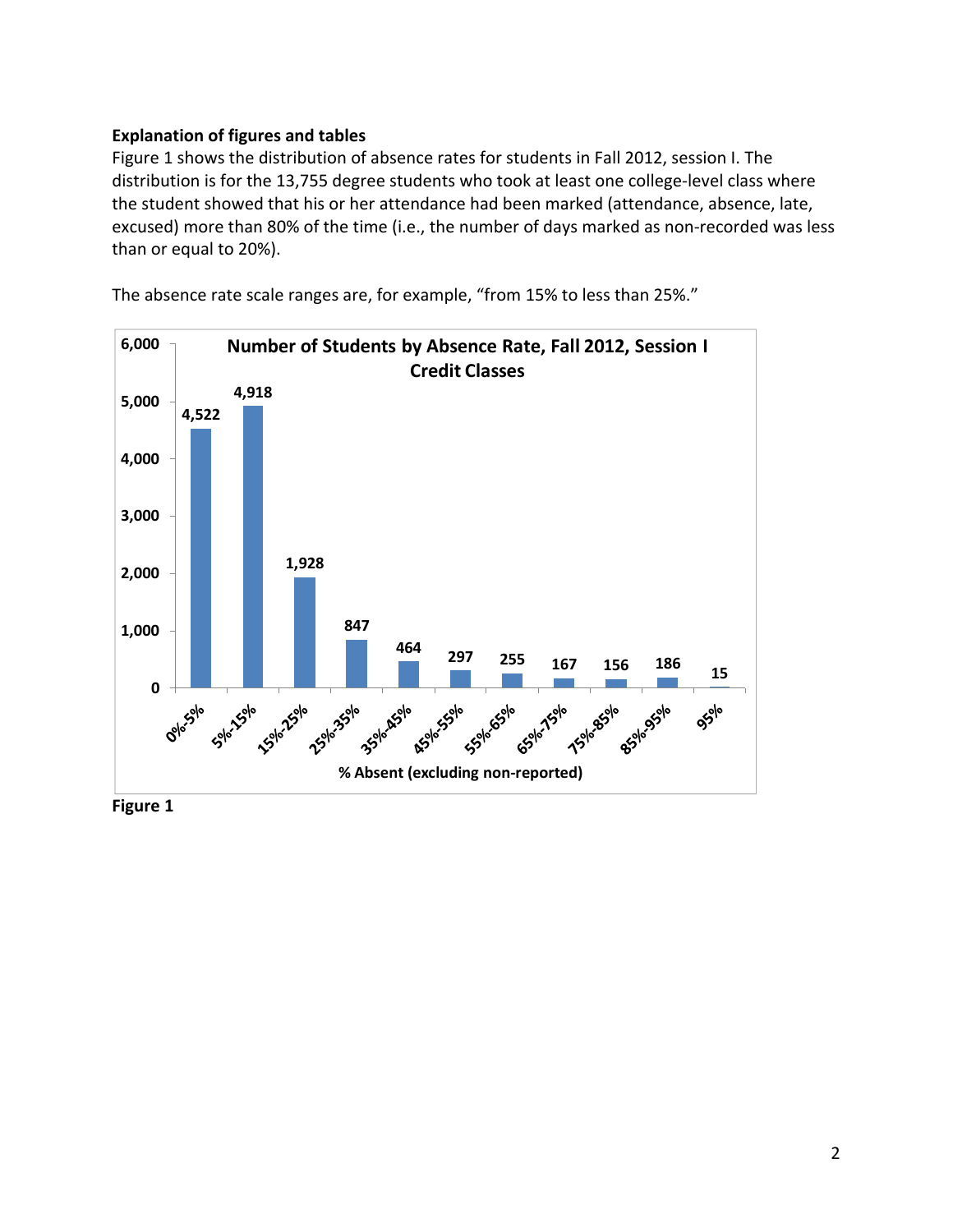#### **Explanation of figures and tables**

 Figure 1 shows the distribution of absence rates for students in Fall 2012, session I. The distribution is for the 13,755 degree students who took at least one college‐level class where the student showed that his or her attendance had been marked (attendance, absence, late, excused) more than 80% of the time (i.e., the number of days marked as non‐recorded was less than or equal to 20%).



The absence rate scale ranges are, for example, "from 15% to less than 25%."

 **Figure 1**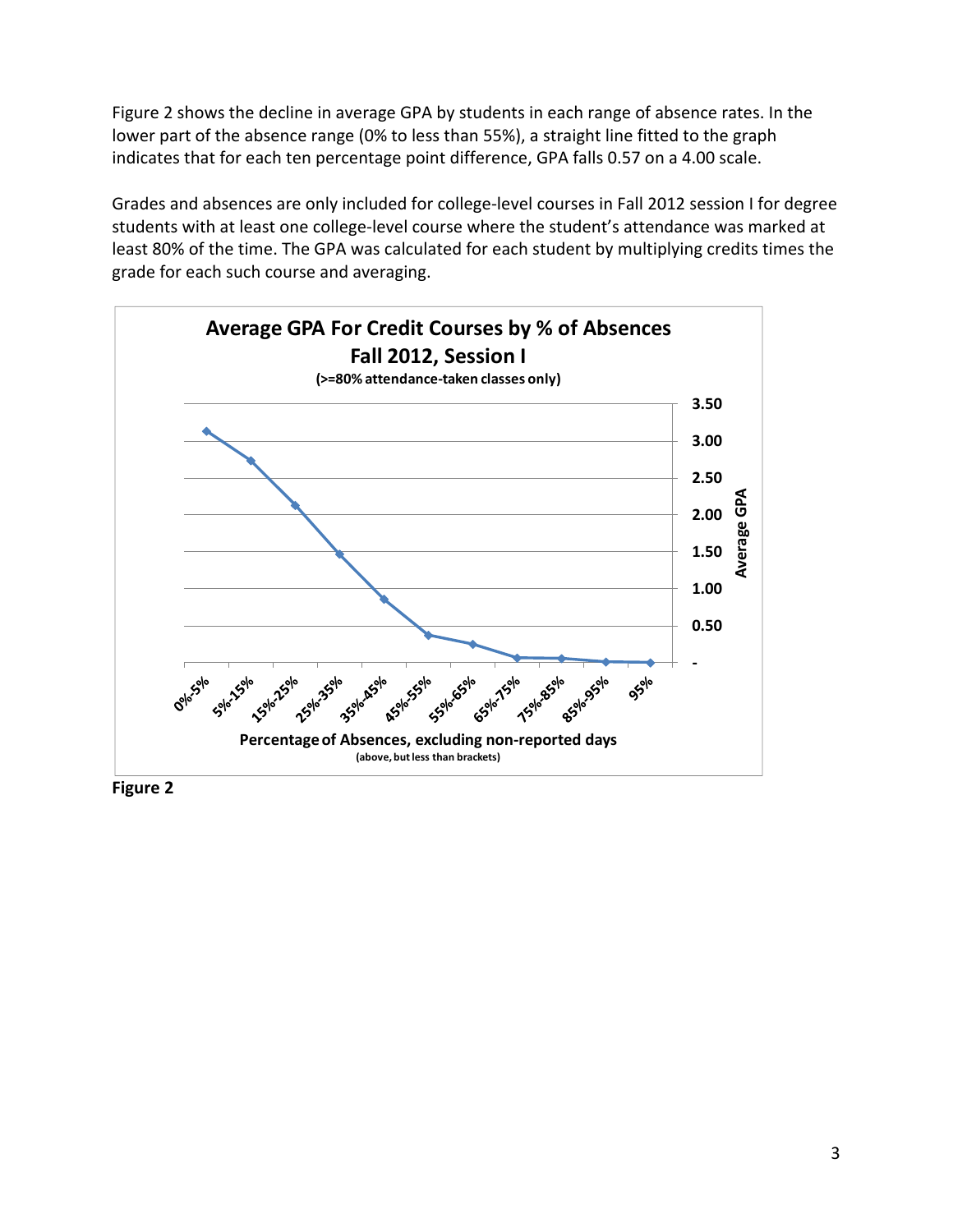Figure 2 shows the decline in average GPA by students in each range of absence rates. In the lower part of the absence range (0% to less than 55%), a straight line fitted to the graph indicates that for each ten percentage point difference, GPA falls 0.57 on a 4.00 scale.

 Grades and absences are only included for college‐level courses in Fall 2012 session I for degree students with at least one college‐level course where the student's attendance was marked at least 80% of the time. The GPA was calculated for each student by multiplying credits times the grade for each such course and averaging.



 **Figure 2**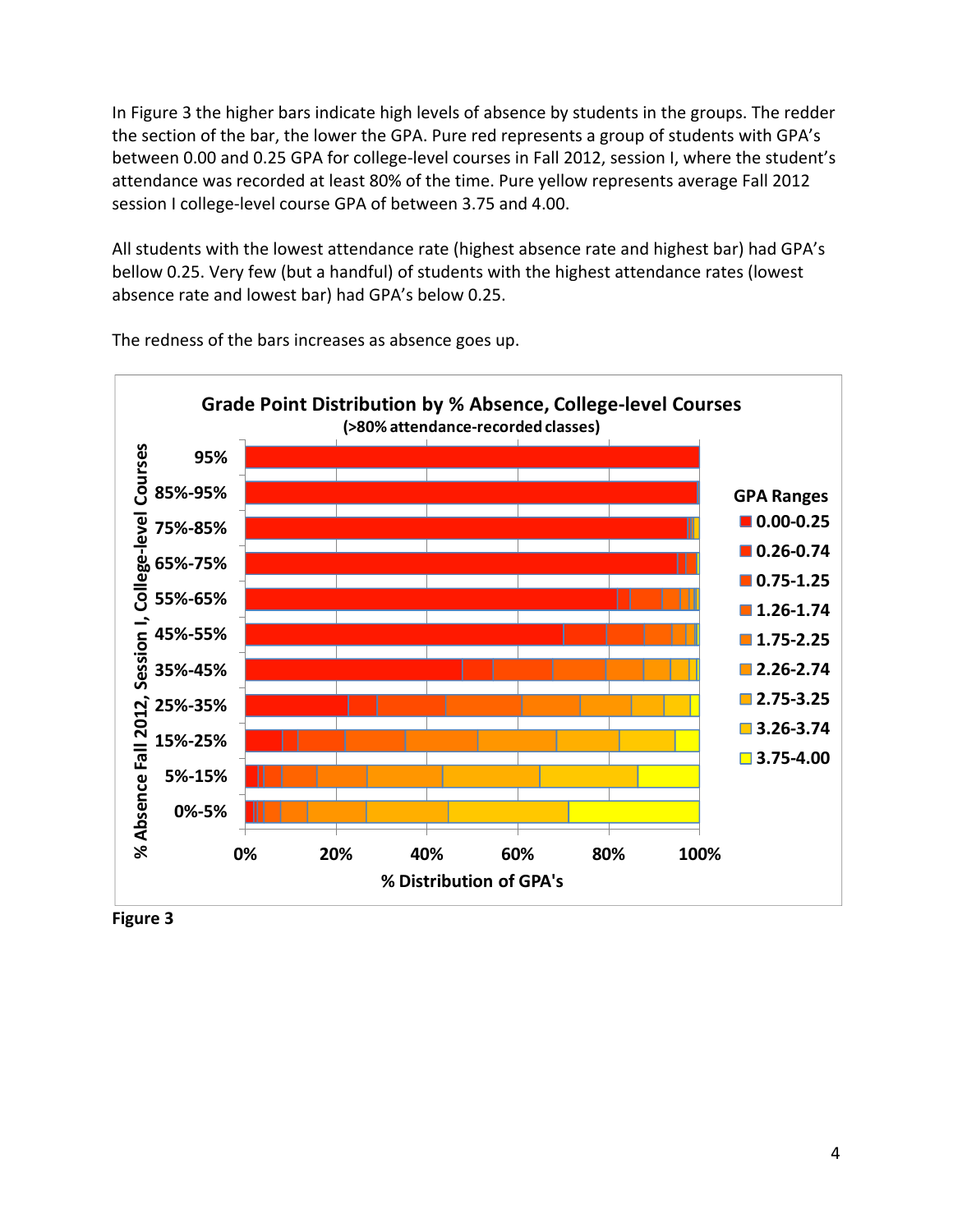In Figure 3 the higher bars indicate high levels of absence by students in the groups. The redder the section of the bar, the lower the GPA. Pure red represents a group of students with GPA's between 0.00 and 0.25 GPA for college‐level courses in Fall 2012, session I, where the student's attendance was recorded at least 80% of the time. Pure yellow represents average Fall 2012 session I college‐level course GPA of between 3.75 and 4.00.

 All students with the lowest attendance rate (highest absence rate and highest bar) had GPA's bellow 0.25. Very few (but a handful) of students with the highest attendance rates (lowest absence rate and lowest bar) had GPA's below 0.25.



The redness of the bars increases as absence goes up.

 **Figure 3**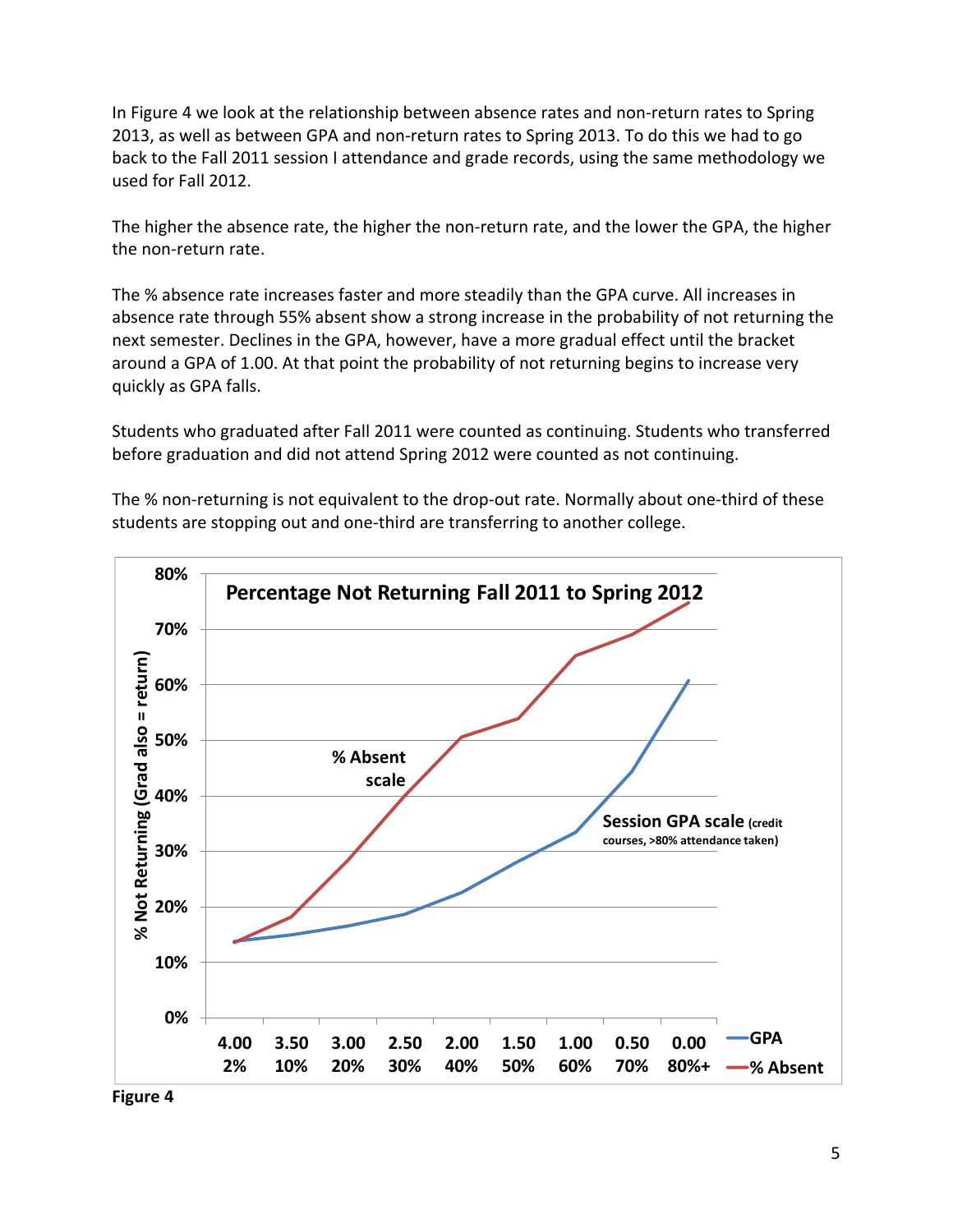In Figure 4 we look at the relationship between absence rates and non‐return rates to Spring 2013, as well as between GPA and non‐return rates to Spring 2013. To do this we had to go back to the Fall 2011 session I attendance and grade records, using the same methodology we used for Fall 2012.

 The higher the absence rate, the higher the non‐return rate, and the lower the GPA, the higher the non‐return rate.

 The % absence rate increases faster and more steadily than the GPA curve. All increases in absence rate through 55% absent show a strong increase in the probability of not returning the next semester. Declines in the GPA, however, have a more gradual effect until the bracket around a GPA of 1.00. At that point the probability of not returning begins to increase very quickly as GPA falls.

 Students who graduated after Fall 2011 were counted as continuing. Students who transferred before graduation and did not attend Spring 2012 were counted as not continuing.

 The % non‐returning is not equivalent to the drop‐out rate. Normally about one‐third of these students are stopping out and one‐third are transferring to another college.



 **Figure 4**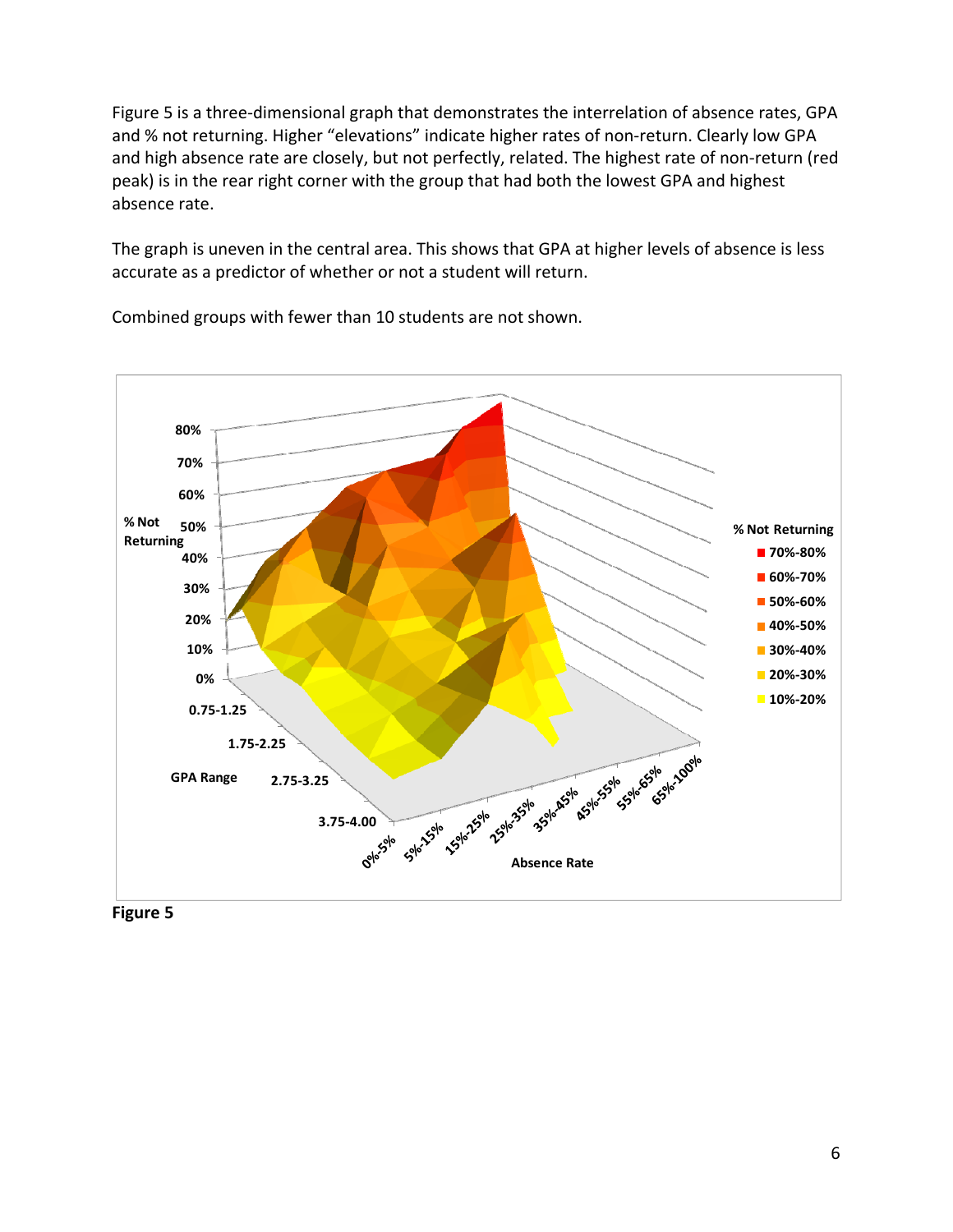Figure 5 is a three‐dimensional graph that demonstrates the interrelation of absence rates, GPA and % not returning. Higher "elevations" indicate higher rates of non‐return. Clearly low GPA and high absence rate are closely, but not perfectly, related. The highest rate of non‐return (red peak) is in the rear right corner with the group that had both the lowest GPA and highest absence rate.

 The graph is uneven in the central area. This shows that GPA at higher levels of absence is less accurate as a predictor of whether or not a student will return.



Combined groups with fewer than 10 students are not shown.

 **Figure 5**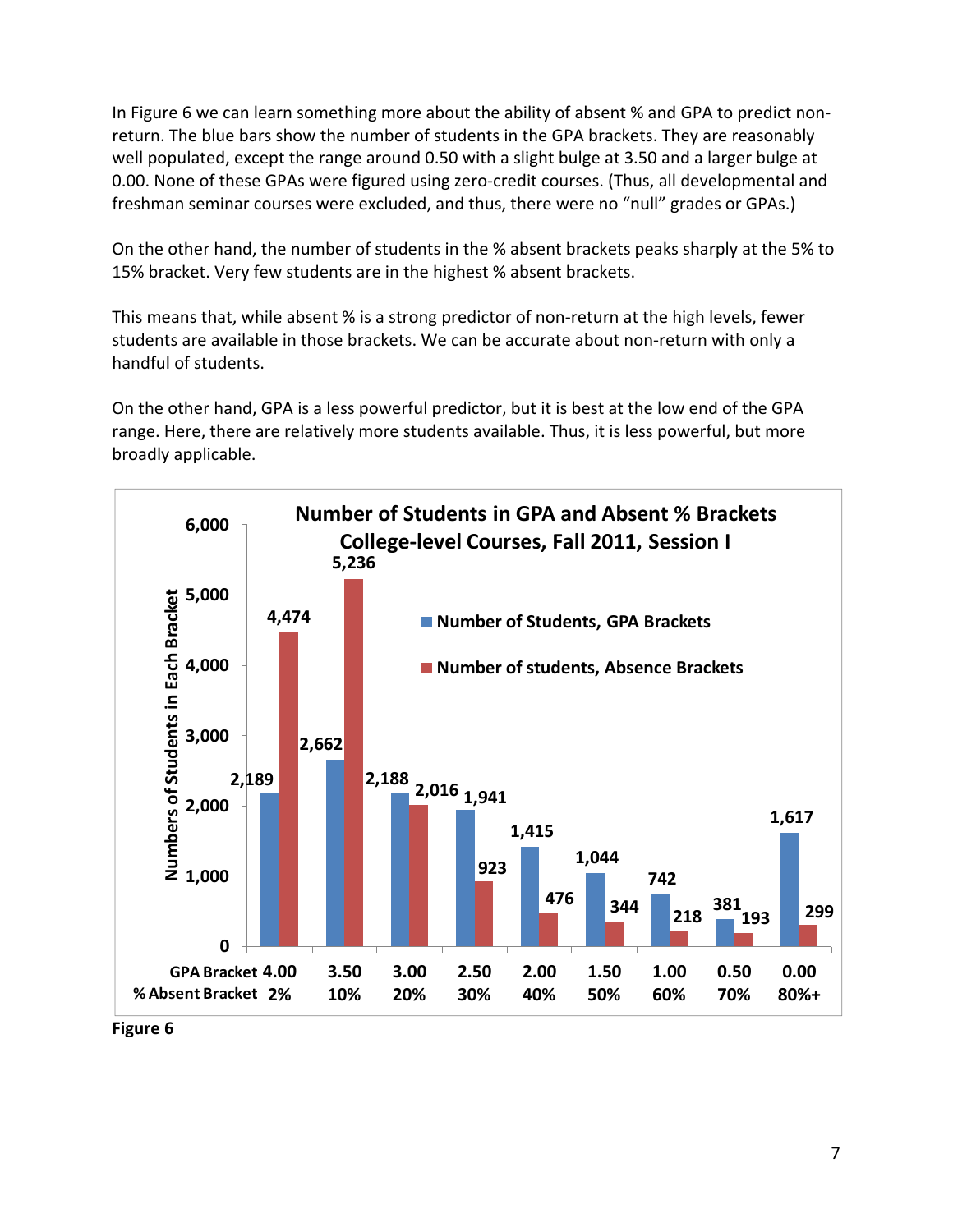In Figure 6 we can learn something more about the ability of absent % and GPA to predict non‐ return. The blue bars show the number of students in the GPA brackets. They are reasonably well populated, except the range around 0.50 with a slight bulge at 3.50 and a larger bulge at 0.00. None of these GPAs were figured using zero‐credit courses. (Thus, all developmental and freshman seminar courses were excluded, and thus, there were no "null" grades or GPAs.)

 On the other hand, the number of students in the % absent brackets peaks sharply at the 5% to 15% bracket. Very few students are in the highest % absent brackets.

 This means that, while absent % is a strong predictor of non‐return at the high levels, fewer students are available in those brackets. We can be accurate about non‐return with only a handful of students.

 On the other hand, GPA is a less powerful predictor, but it is best at the low end of the GPA range. Here, there are relatively more students available. Thus, it is less powerful, but more broadly applicable.



 **Figure 6**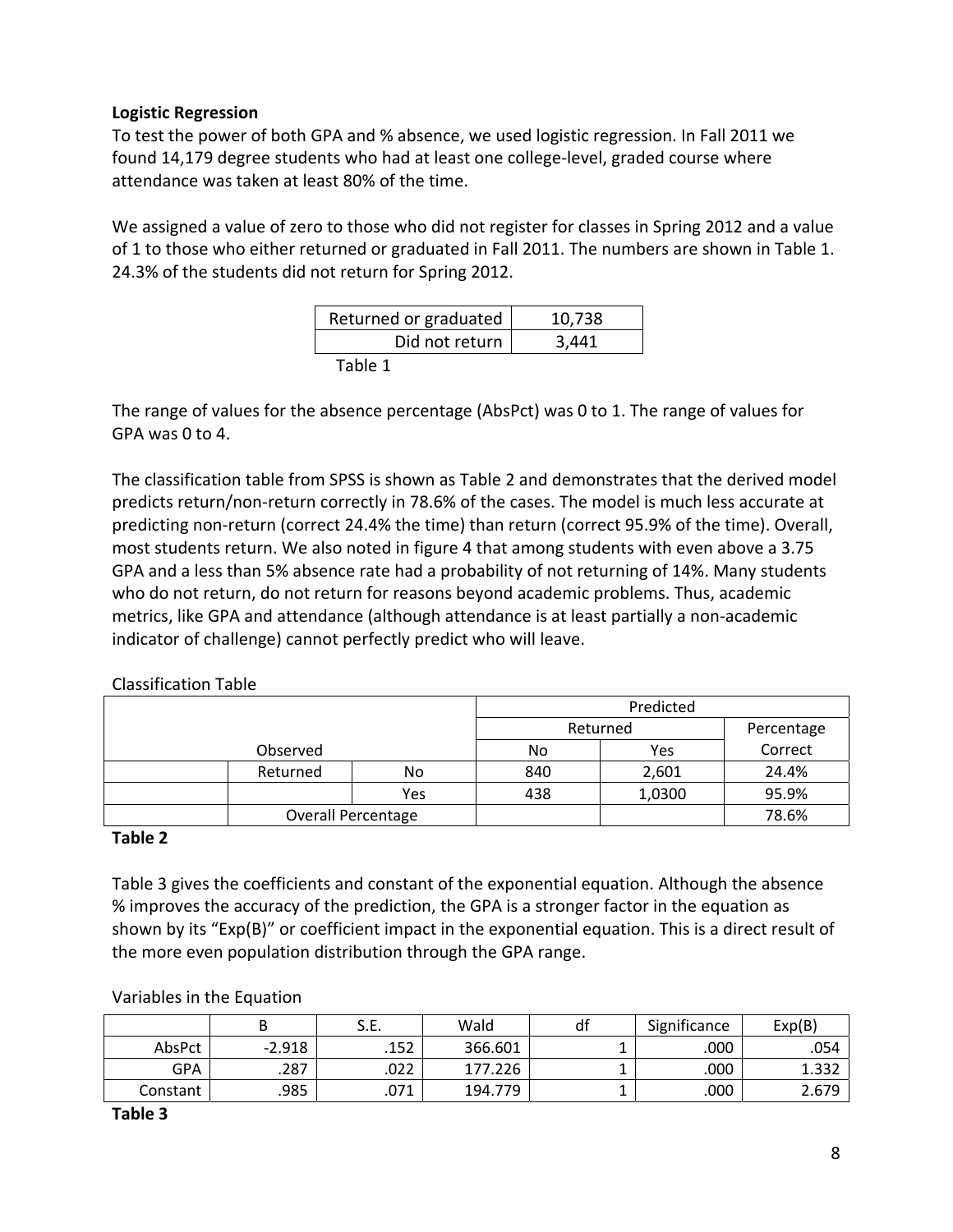#### **Logistic Regression**

 To test the power of both GPA and % absence, we used logistic regression. In Fall 2011 we found 14,179 degree students who had at least one college‐level, graded course where attendance was taken at least 80% of the time.

 We assigned a value of zero to those who did not register for classes in Spring 2012 and a value of 1 to those who either returned or graduated in Fall 2011. The numbers are shown in Table 1. 24.3% of the students did not return for Spring 2012.

| Returned or graduated | 10,738 |
|-----------------------|--------|
| Did not return        | 3,441  |
| Table 1               |        |

 The range of values for the absence percentage (AbsPct) was 0 to 1. The range of values for GPA was 0 to 4.

 The classification table from SPSS is shown as Table 2 and demonstrates that the derived model predicts return/non‐return correctly in 78.6% of the cases. The model is much less accurate at predicting non‐return (correct 24.4% the time) than return (correct 95.9% of the time). Overall, most students return. We also noted in figure 4 that among students with even above a 3.75 GPA and a less than 5% absence rate had a probability of not returning of 14%. Many students who do not return, do not return for reasons beyond academic problems. Thus, academic metrics, like GPA and attendance (although attendance is at least partially a non‐academic indicator of challenge) cannot perfectly predict who will leave.

|          |                           |          | Predicted |            |       |  |
|----------|---------------------------|----------|-----------|------------|-------|--|
|          |                           | Returned |           | Percentage |       |  |
| Observed |                           | No       | Yes       | Correct    |       |  |
|          | Returned                  | No       | 840       | 2,601      | 24.4% |  |
|          |                           | Yes      | 438       | 1,0300     | 95.9% |  |
|          | <b>Overall Percentage</b> |          |           |            | 78.6% |  |

#### **Table 2**

 Table 3 gives the coefficients and constant of the exponential equation. Although the absence % improves the accuracy of the prediction, the GPA is a stronger factor in the equation as shown by its "Exp(B)" or coefficient impact in the exponential equation. This is a direct result of the more even population distribution through the GPA range.

#### Variables in the Equation

|          |          | J.L. | Wald    | df | Significance | Exp(B) |
|----------|----------|------|---------|----|--------------|--------|
| AbsPct   | $-2.918$ | .152 | 366.601 |    | .000         | .054   |
| GPA      | .287     | .022 | 177.226 |    | .000         | 1.332  |
| Constant | .985     | .071 | 194.779 | -  | .000         | 2.679  |

 **Table 3**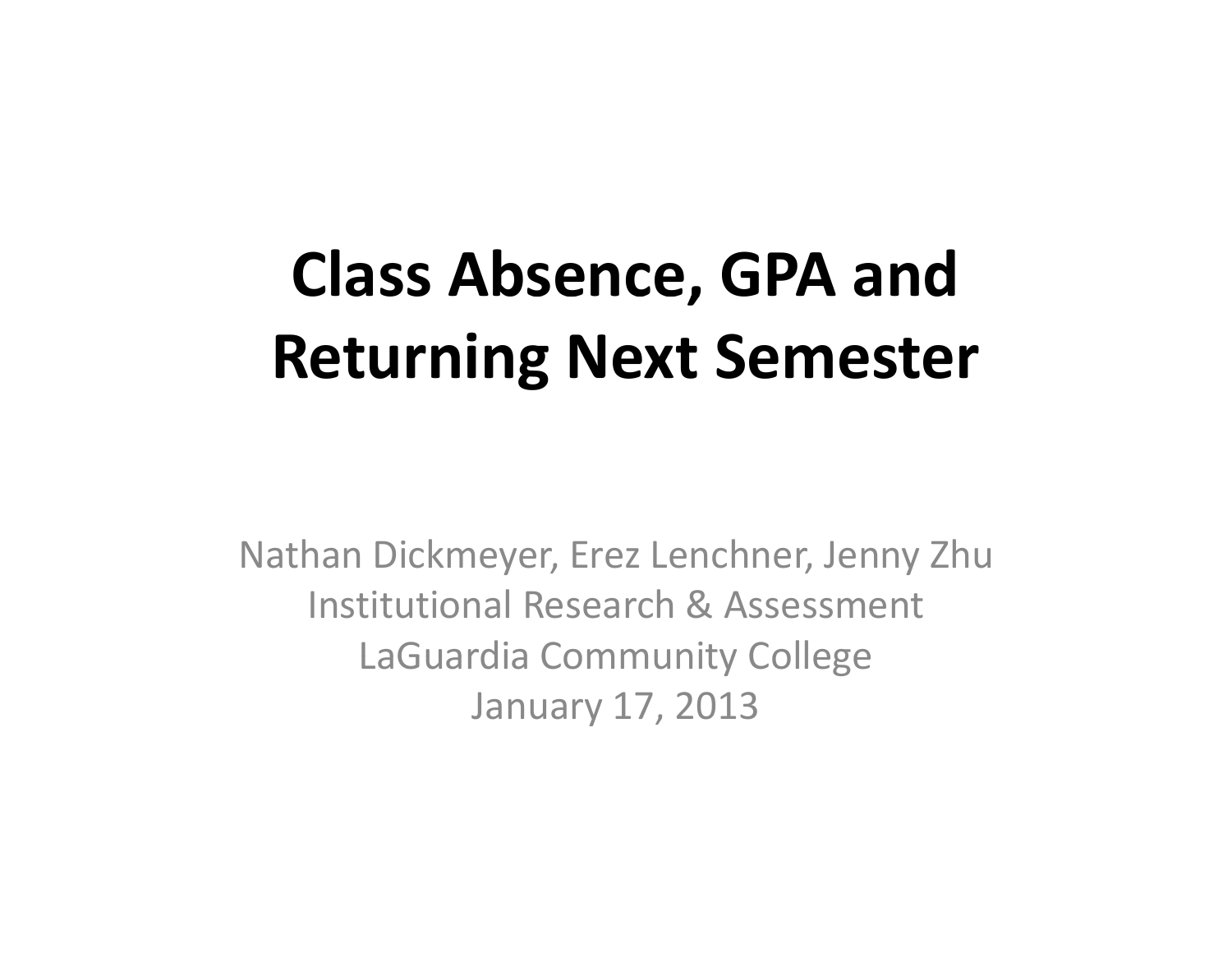# **Class Absence, GPA and Returning Next Semester**

Nathan Dickmeyer, Erez Lenchner, Jenny Zhu Institutional Research & Assessment LaGuardia Community College January 17, 2013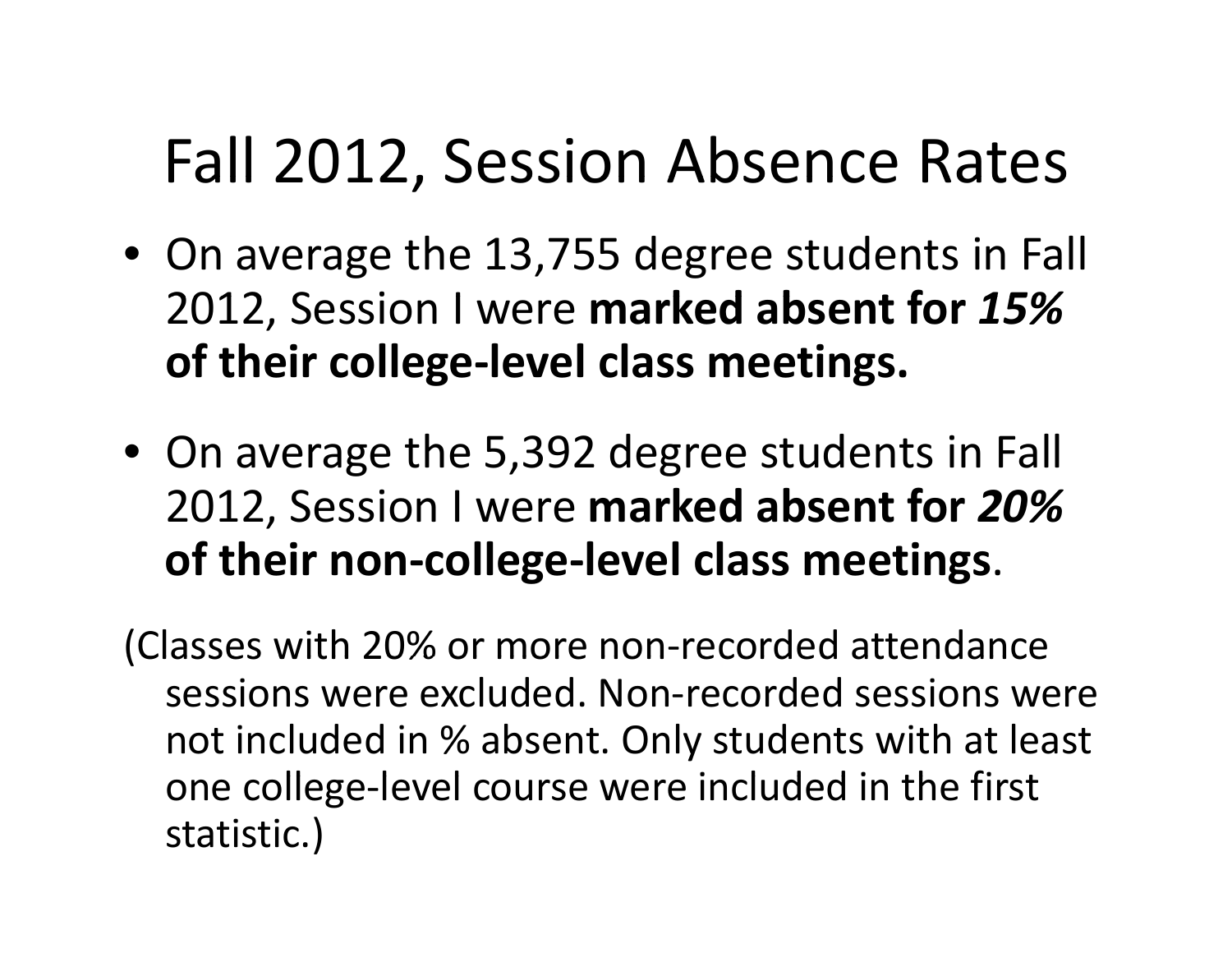## Fall 2012, Session Absence Rates

- On average the 13,755 degree students in Fall 2012, Session I were **mark de absent for** *15%* **of their college‐level class meetings.**
- On average the 5,392 degree students in Fall 2012, Session I were **marked absent for** *20%* **of their non‐college‐level class meetings**.

(Classes with 20% or more non‐recorded attendance sessions were excluded. Non‐recorded sessions were not included in % absent. Only students with at least one college-level course were included in the first statistic.)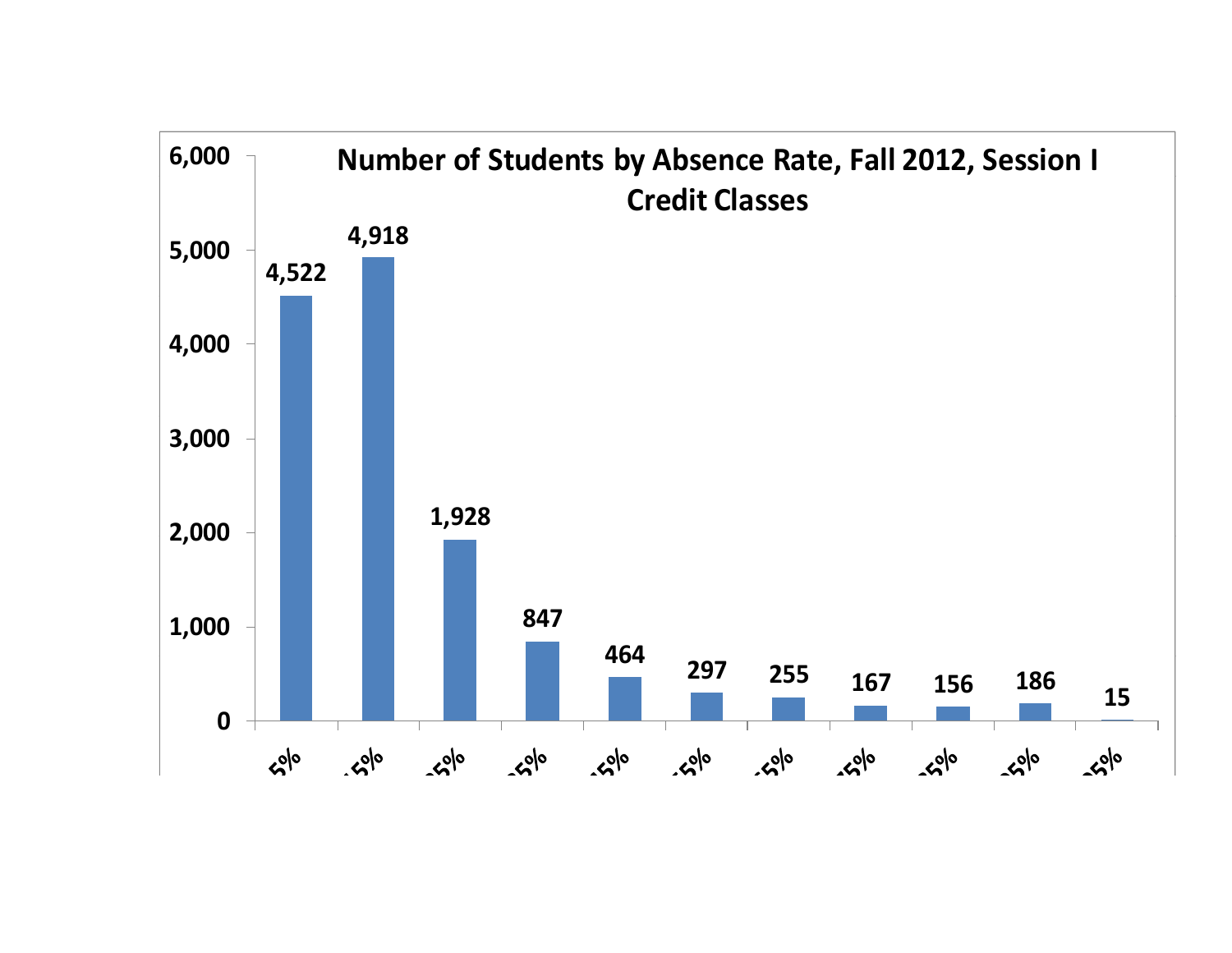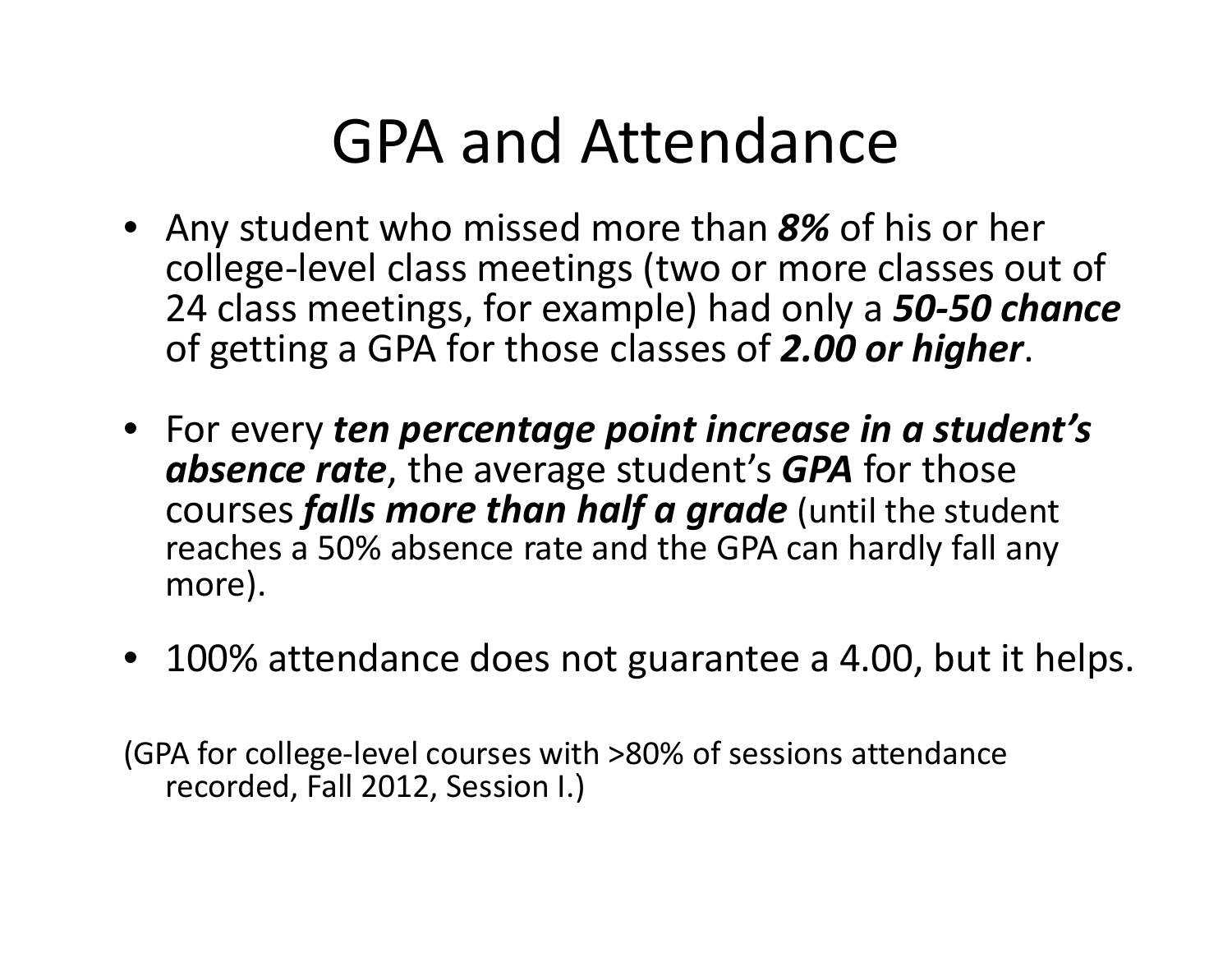### GPA and Attendance

- Any student who missed more than *8%* of his or her college‐level class meetings (two or more classes out of 24 class meetings, for example) had only a 50-50 chance of getting <sup>a</sup> GPA for those classes of *2.00 or higher*.
- For every *ten percentage point increase in <sup>a</sup> student's absence rate*, the average student's *GPA* for those courses *falls more than half <sup>a</sup> grade* (until the student reaches a 50% absence rate and the GPA can hardly fall any more).
- $\bullet$  100% attendance does not guarantee a 4.00, but it helps.

(GPA for college‐level courses with >80% of sessions attendance recorded, Fall 2012, Session I.)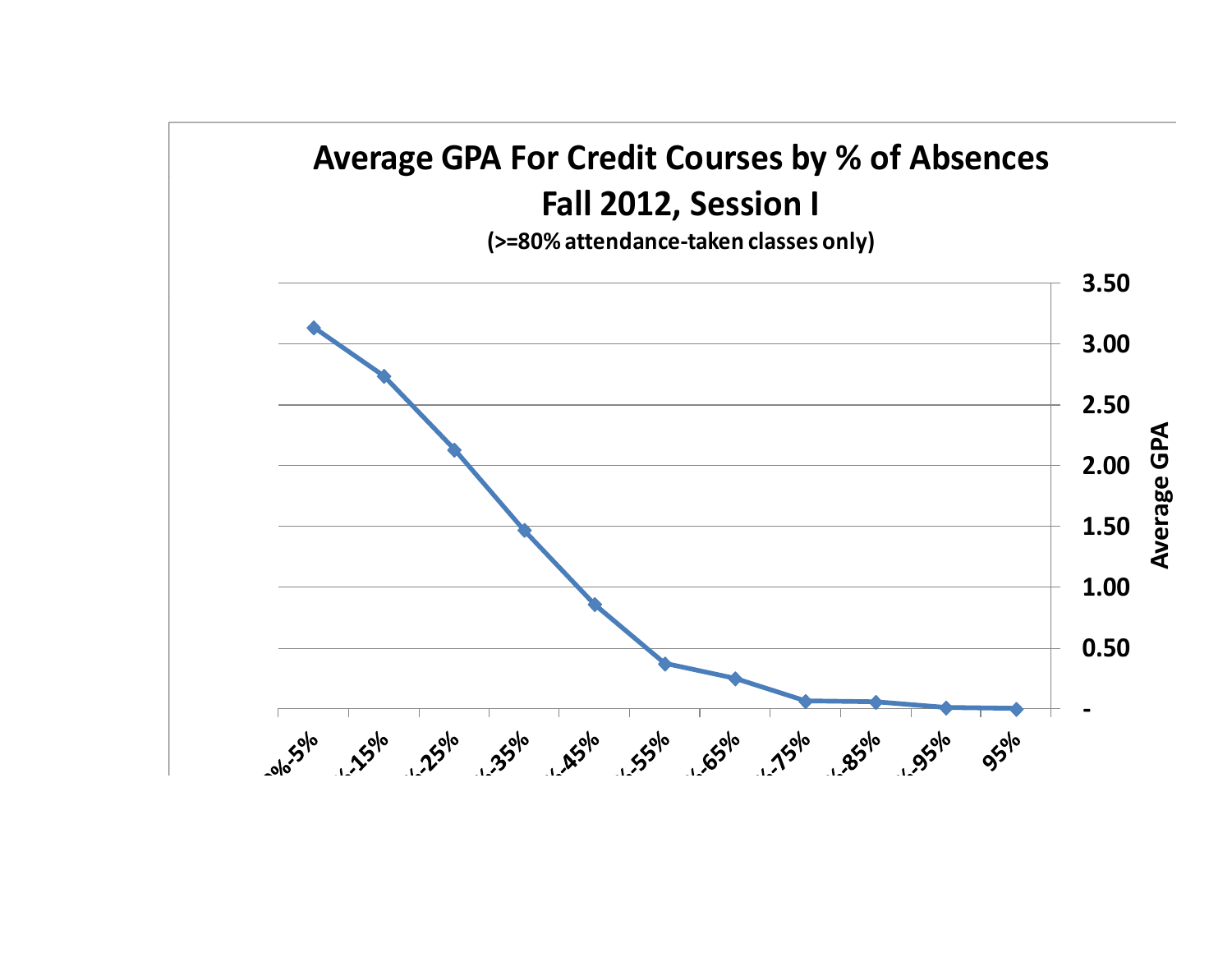### **Average GPA For Credit Courses by % of Absences g y Fall 2012, Session I**

**(>=80% attendance‐taken classes only)**

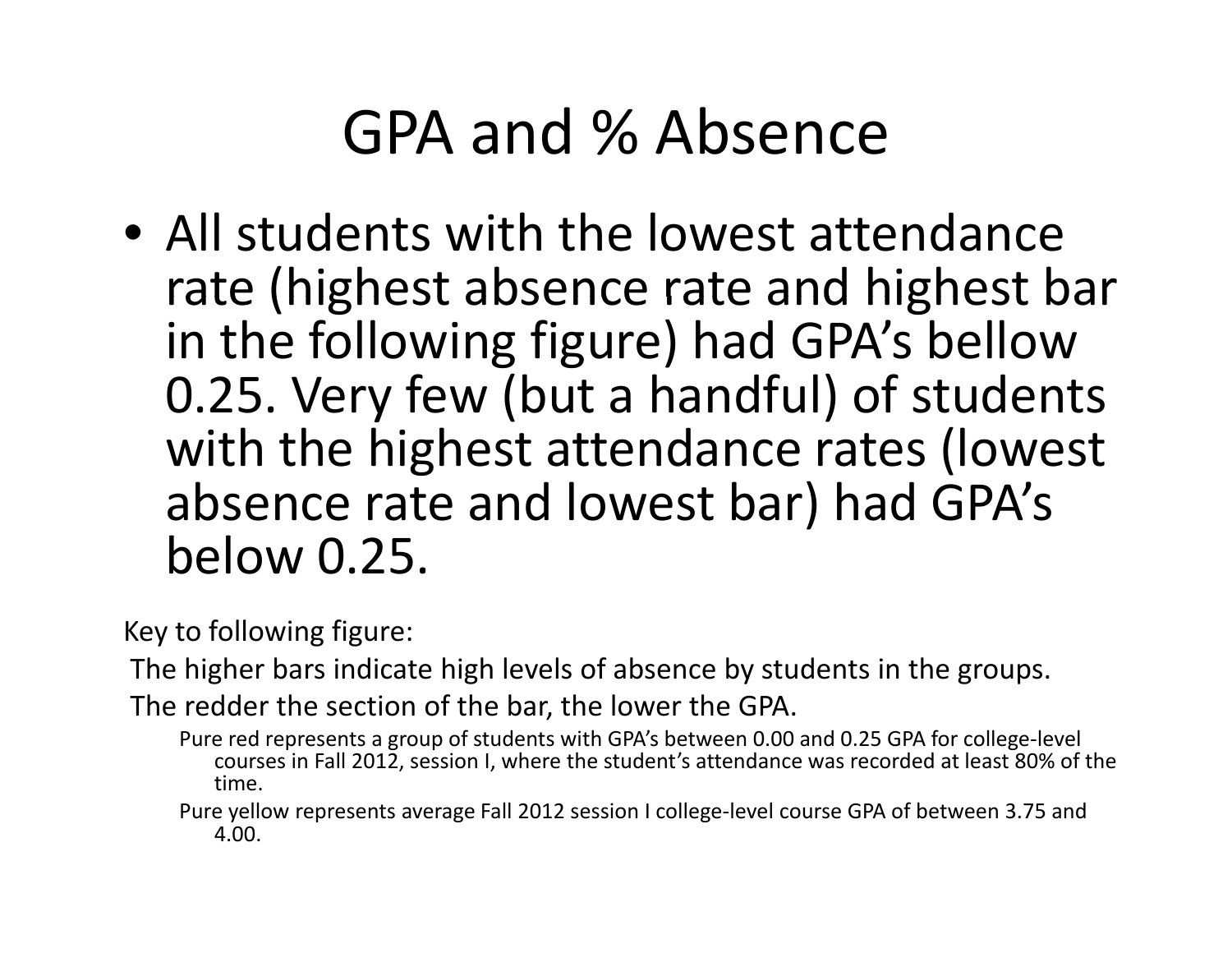## GPA and % Absence

• All students with the lowest attendance rate (highest absence rate and highest bar in the following figure) had GPA's bellow 0.25. Very few (but <sup>a</sup> handful) of students with the highest attendance rates (lowest absence rate and lowest bar) had GPA's below 0.25.

Key to following figure:

The higher bars indicate high levels of absence by students in the groups.

The redder the section of the bar, the lower the GPA.

Pure red represents <sup>a</sup> group of students with GPA's between 0.00 and 0.25 GPA for college‐level courses in Fall 2012, session I, where the student's attendance was recorded at least 80% of the time.

Pure yellow represents average Fall 2012 session I college‐level course GPA of between 3.75 and 4.00.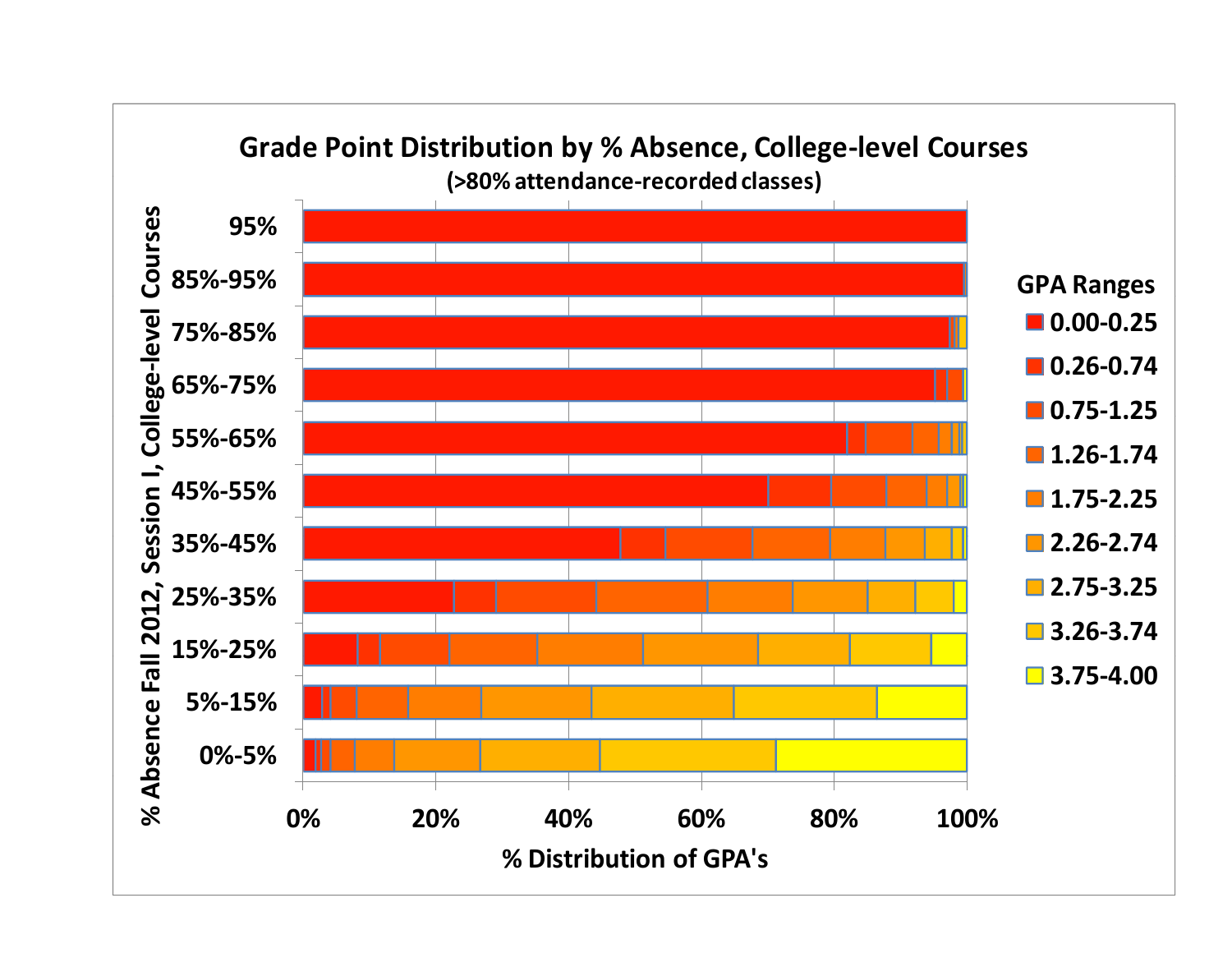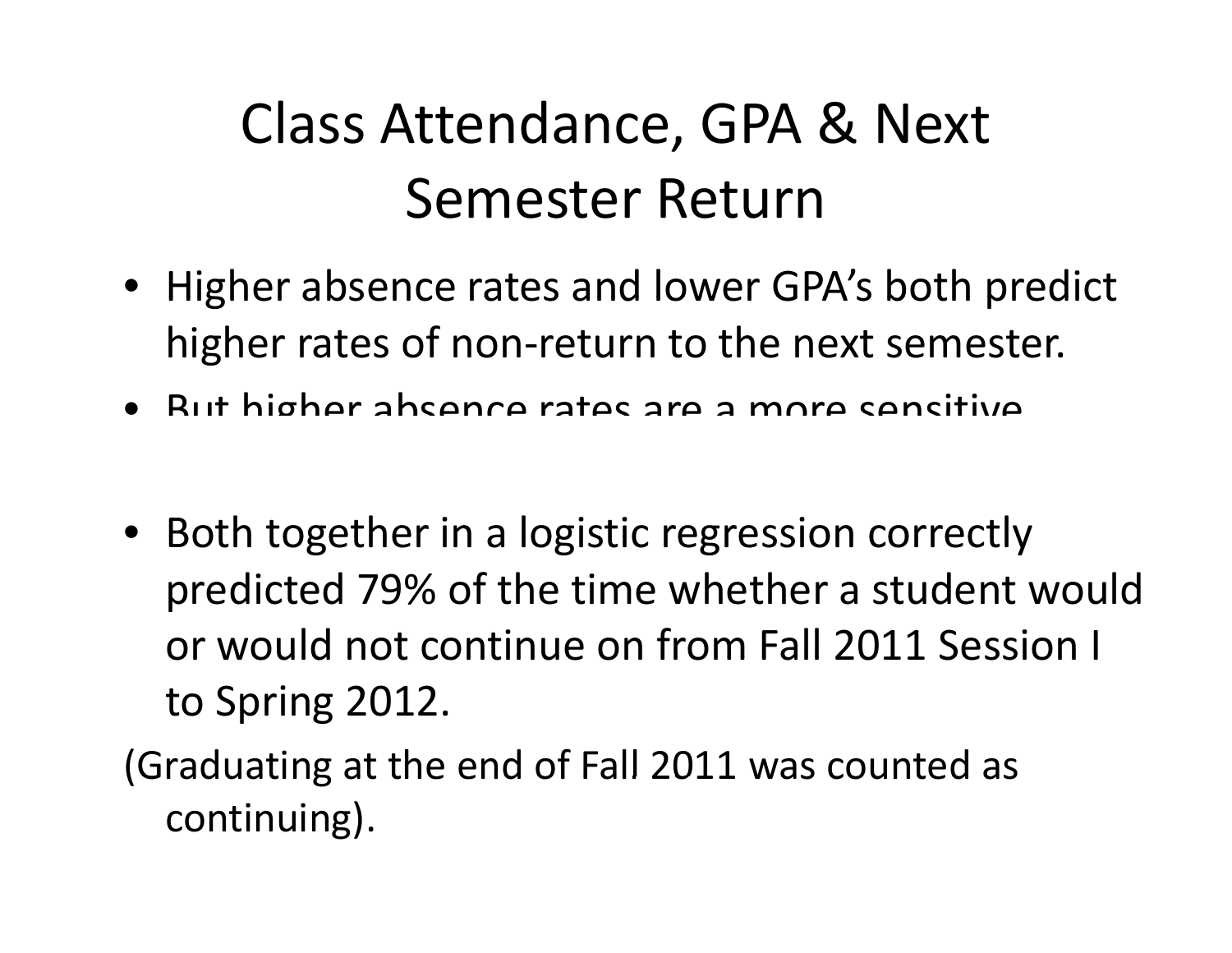### Class Attendance, GPA & Next Semester Return

- Higher absence rates and lower GPA's both predict higher rates of non-return to the next semester.
- But higher absence rates are <sup>a</sup> more sensitive
- Both together in <sup>a</sup> logistic regression correctly predicted 79% of the time whether <sup>a</sup> student would or would not continue on from Fall 2011 Session I to Spring 2012.

(Graduating at the end of Fall 2011 was counted as continuing).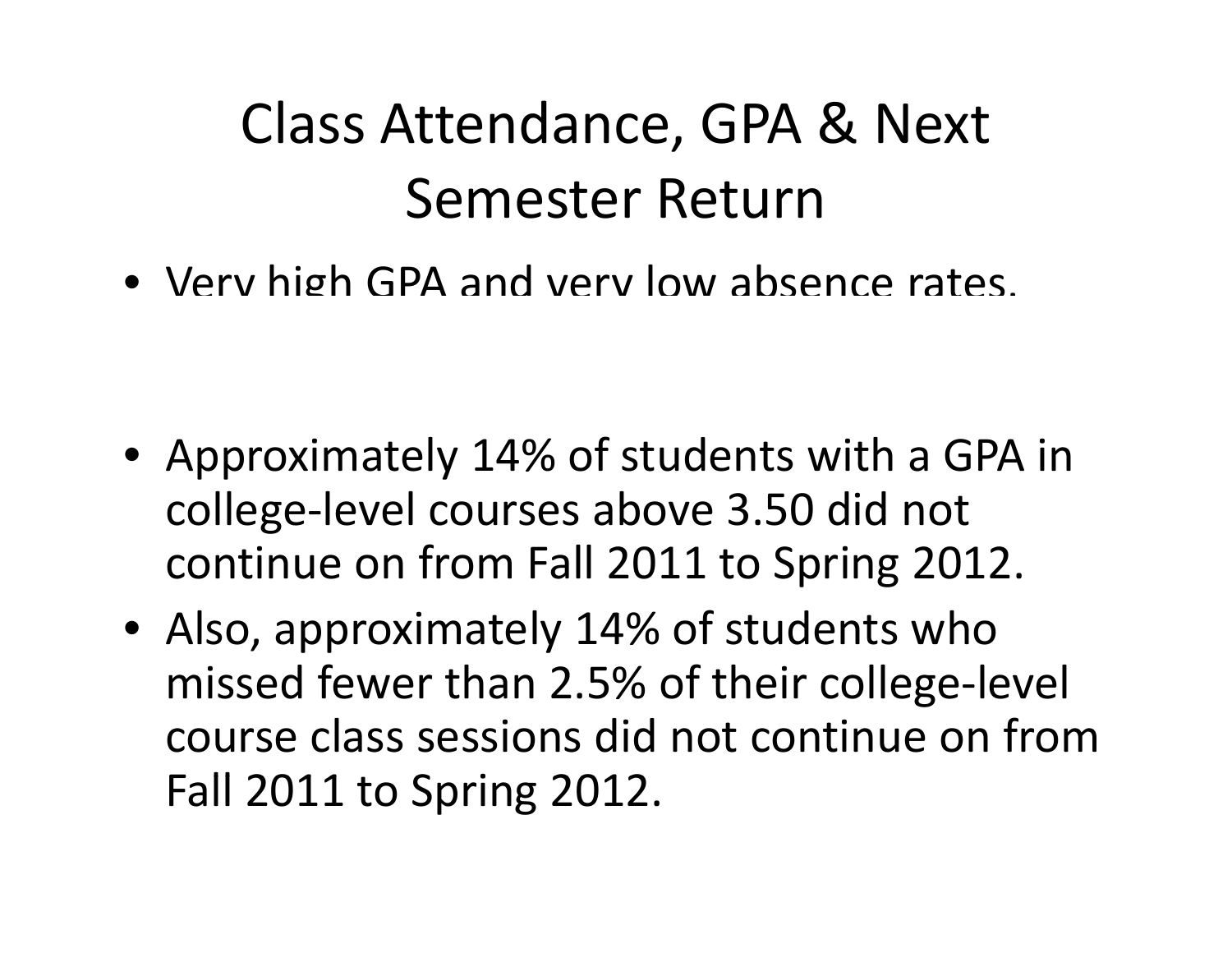### Class Attendance, GPA & Next Semester Return

• Verv high GPA and verv low absence rates.

- Approximately 14% of students with <sup>a</sup> GPA in college‐level courses above 3.50 did not continue on from Fall 2011 to Spring 2012.
- Also, approximately 14% of students who missed fewer than 2.5% of their college‐level course class sessions did not continue on fromFall 2011 to Spring 2012.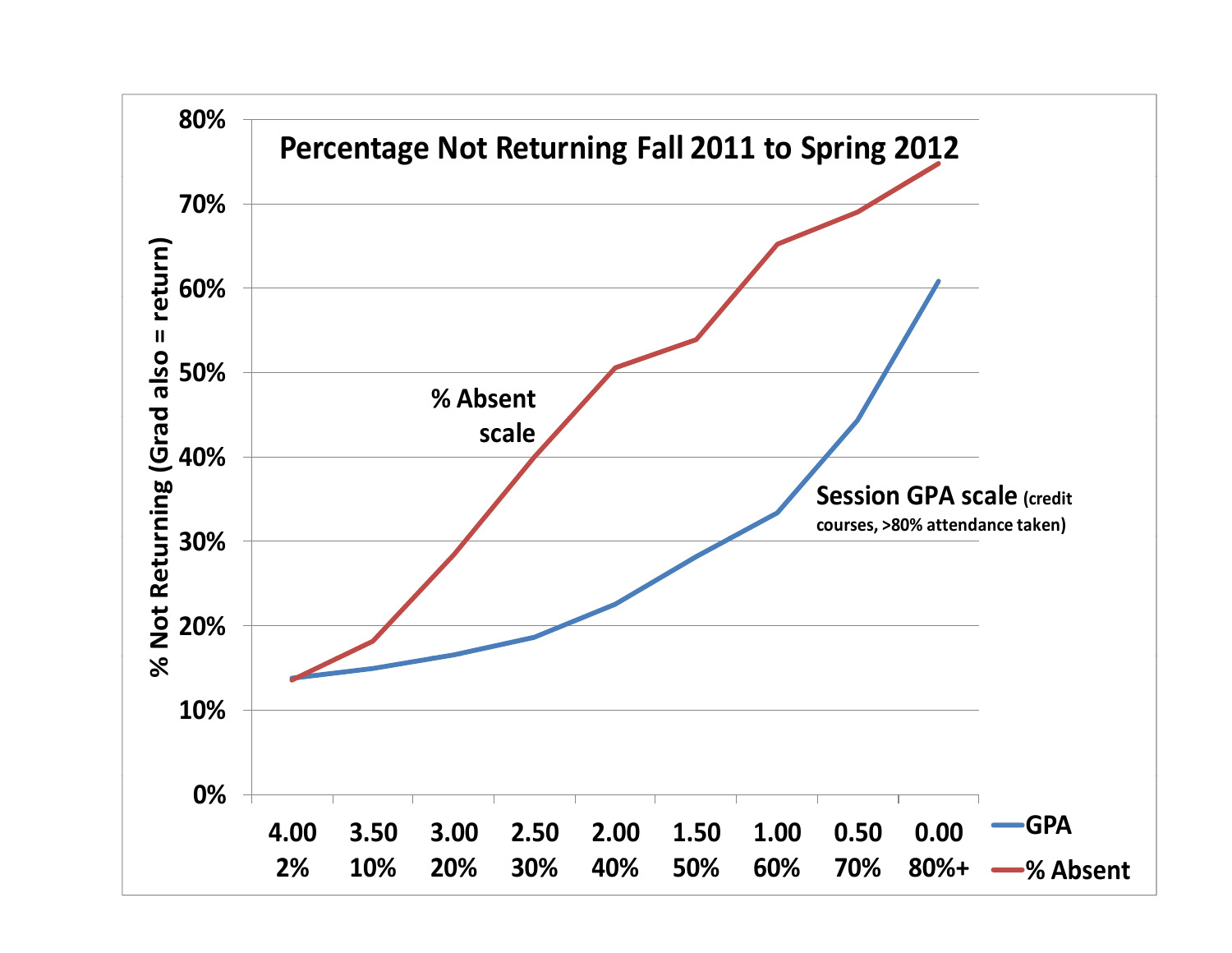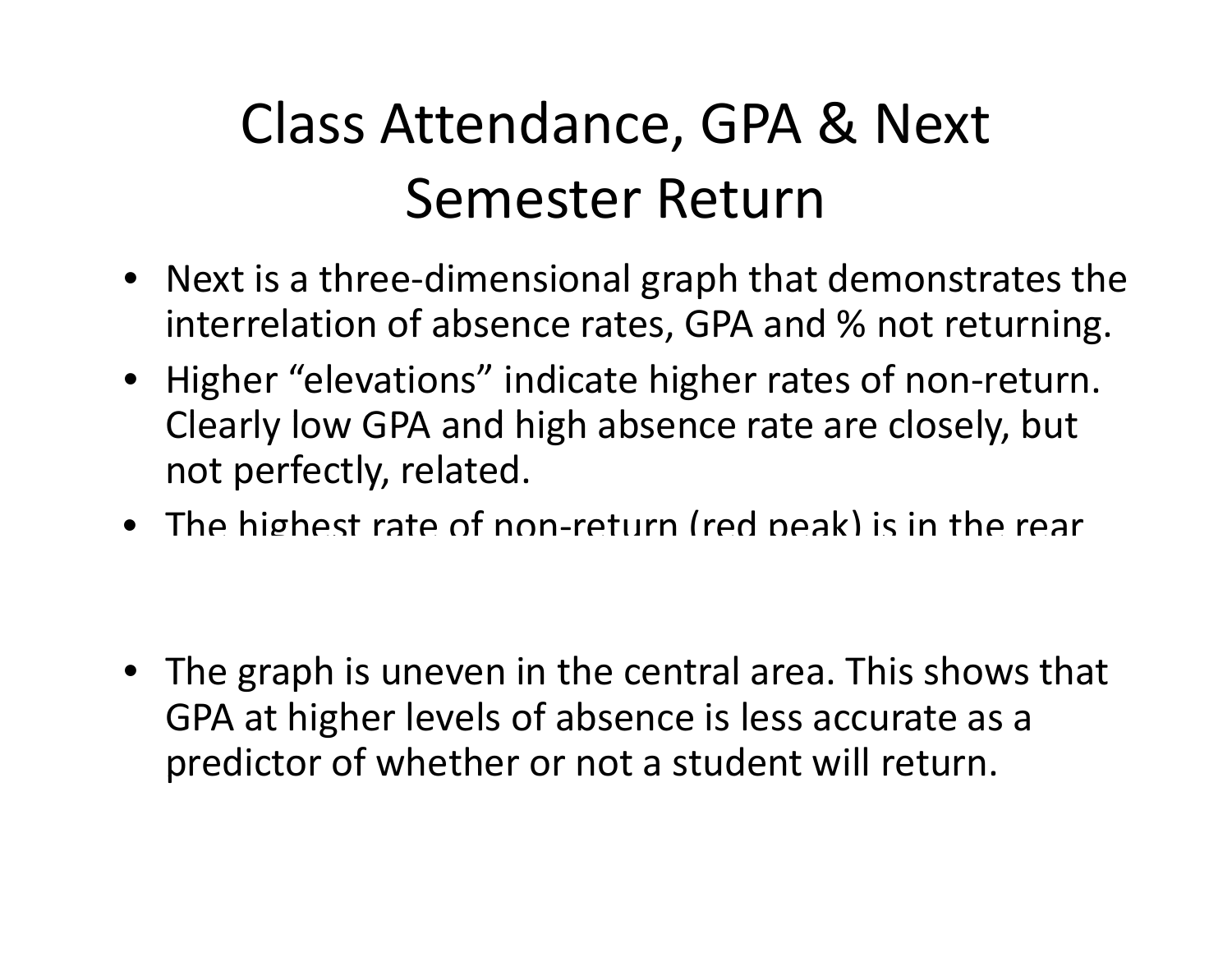### Class Attendance, GPA & Next Semester Return

- Next is a three-dimensional graph that demonstrates the interrelation of absence rates, GPA and % not returning.
- Higher "elevations" indicate higher rates of non‐return. Clearly low GPA and high absence rate are closely, but not perfectly, related.
- The highest rate of non‐return (red peak) is in the rear

• The graph is uneven in the central area. This shows that GPA at higher levels of absence is less accurate as <sup>a</sup> predictor of whether or not a student will return.